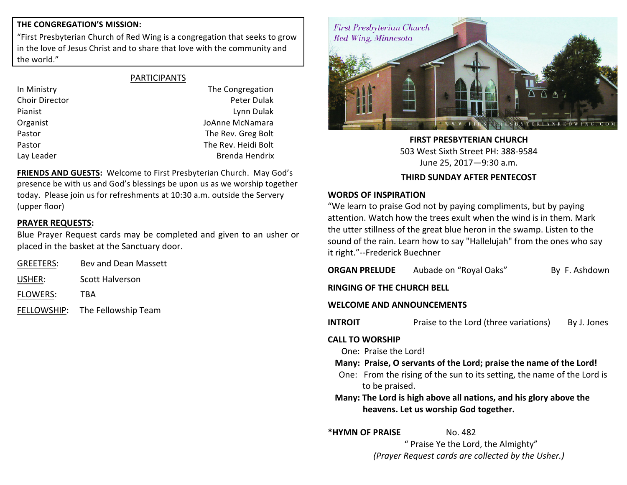#### **THE CONGREGATION'S MISSION:**

"First Presbyterian Church of Red Wing is a congregation that seeks to grow in the love of Jesus Christ and to share that love with the community and the world."

Lay Leader **Brenda** Hendrix

In Ministry **In Ministry In Ministry The Congregation** Choir Director **Peter Dulak Peter Dulak Peter** Dulak Pianist **Lynn Dulak Lynn Dulak Lynn Dulak** Organist **Communisties Communist** JoAnne McNamara Pastor **The Rev. Greg Bolt** Pastor **The Rev.** Heidi Bolt

FRIENDS AND GUESTS: Welcome to First Presbyterian Church. May God's presence be with us and God's blessings be upon us as we worship together today. Please join us for refreshments at 10:30 a.m. outside the Servery (upper floor)

### **PRAYER REQUESTS:**

Blue Prayer Request cards may be completed and given to an usher or placed in the basket at the Sanctuary door.

| <b>GREETERS:</b> | Bey and Dean Massett            |
|------------------|---------------------------------|
| USHER:           | <b>Scott Halverson</b>          |
| <b>FLOWERS:</b>  | TRA                             |
|                  | FELLOWSHIP: The Fellowship Team |



**FIRST PRESBYTERIAN CHURCH** 503 West Sixth Street PH: 388-9584 June 25, 2017—9:30 a.m.

#### **THIRD SUNDAY AFTER PENTECOST**

#### **WORDS OF INSPIRATION**

"We learn to praise God not by paying compliments, but by paying attention. Watch how the trees exult when the wind is in them. Mark the utter stillness of the great blue heron in the swamp. Listen to the sound of the rain. Learn how to say "Hallelujah" from the ones who say it right."--Frederick Buechner

| $\frac{1}{2}$                                                                                              |                                                                         |               |  |
|------------------------------------------------------------------------------------------------------------|-------------------------------------------------------------------------|---------------|--|
| ORGAN PRELUDE                                                                                              | Aubade on "Royal Oaks"                                                  | By F. Ashdown |  |
| RINGING OF THE CHURCH BELL                                                                                 |                                                                         |               |  |
| <b>WELCOME AND ANNOUNCEMENTS</b>                                                                           |                                                                         |               |  |
| <b>INTROIT</b>                                                                                             | Praise to the Lord (three variations)                                   | By J. Jones   |  |
| <b>CALL TO WORSHIP</b>                                                                                     |                                                                         |               |  |
| One: Praise the Lord!                                                                                      |                                                                         |               |  |
| Many: Praise, O servants of the Lord; praise the name of the Lord!                                         |                                                                         |               |  |
| to be praised.                                                                                             | One: From the rising of the sun to its setting, the name of the Lord is |               |  |
| Many: The Lord is high above all nations, and his glory above the<br>heavens. Let us worship God together. |                                                                         |               |  |
|                                                                                                            |                                                                         |               |  |

**\*HYMN OF PRAISE** No. 482

" Praise Ye the Lord, the Almighty" *(Prayer Request cards are collected by the Usher.)*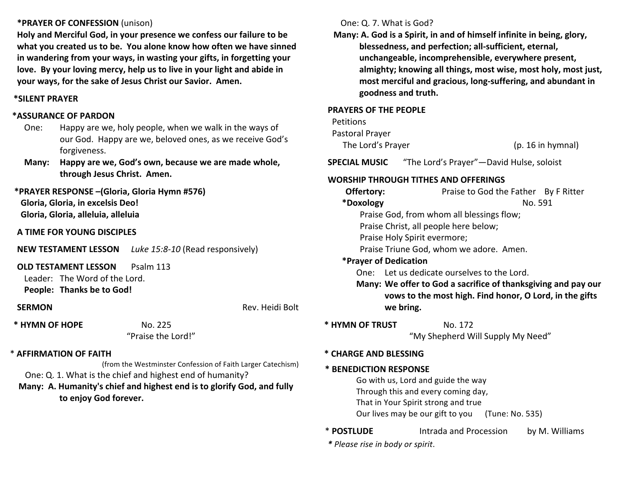#### **\*PRAYER OF CONFESSION** (unison)

Holy and Merciful God, in your presence we confess our failure to be what you created us to be. You alone know how often we have sinned in wandering from your ways, in wasting your gifts, in forgetting your love. By your loving mercy, help us to live in your light and abide in **your ways, for the sake of Jesus Christ our Savior. Amen.** 

#### **\*SILENT PRAYER**

#### **\*ASSURANCE OF PARDON**

- One: Happy are we, holy people, when we walk in the ways of our God. Happy are we, beloved ones, as we receive God's forgiveness.
- **Many:** Happy are we, God's own, because we are made whole, **through Jesus Christ. Amen.**

# **\*PRAYER RESPONSE –(Gloria, Gloria Hymn #576) Gloria, Gloria, in excelsis Deo! Gloria, Gloria, alleluia, alleluia**

**A TIME FOR YOUNG DISCIPLES**

**NEW TESTAMENT LESSON** *Luke 15:8-10* (Read responsively)

#### **OLD TESTAMENT LESSON** Psalm 113

Leader: The Word of the Lord. **People: Thanks be to God!** 

**SERMON Rev.** Heidi Bolt

**\* HYMN OF HOPE** No. 225

"Praise the Lord!"

#### \* **AFFIRMATION OF FAITH**

(from the Westminster Confession of Faith Larger Catechism)

One: Q. 1. What is the chief and highest end of humanity?

# **Many: A. Humanity's chief and highest end is to glorify God, and fully** to enjoy God forever.

# One: Q. 7. What is God?

**Many:** A. God is a Spirit, in and of himself infinite in being, glory, blessedness, and perfection; all-sufficient, eternal, unchangeable, incomprehensible, everywhere present, almighty; knowing all things, most wise, most holy, most just, most merciful and gracious, long-suffering, and abundant in **goodness and truth.** 

#### **PRAYERS OF THE PEOPLE**

# Petitions Pastoral Prayer The Lord's Prayer (p. 16 in hymnal)

**SPECIAL MUSIC** "The Lord's Prayer"—David Hulse, soloist

### **WORSHIP THROUGH TITHES AND OFFERINGS**

| Offertory: | Praise to God the Father By F Ritter                                                                                                  |
|------------|---------------------------------------------------------------------------------------------------------------------------------------|
| *Doxology  | No. 591                                                                                                                               |
|            | Praise God, from whom all blessings flow;                                                                                             |
|            | Praise Christ, all people here below;                                                                                                 |
|            | Praise Holy Spirit evermore;                                                                                                          |
|            | Praise Triune God, whom we adore. Amen.                                                                                               |
|            | *Prayer of Dedication                                                                                                                 |
| One:       | Let us dedicate ourselves to the Lord.                                                                                                |
|            | Many: We offer to God a sacrifice of thanksgiving and pay our<br>vows to the most high. Find honor, O Lord, in the gifts<br>we bring. |
|            |                                                                                                                                       |

### **\* HYMN OF TRUST** No. 172

"My Shepherd Will Supply My Need"

#### **\* CHARGE AND BLESSING**

#### **\* BENEDICTION RESPONSE**

Go with us, Lord and guide the way

Through this and every coming day,

That in Your Spirit strong and true

Our lives may be our gift to you (Tune: No. 535)

\* **POSTLUDE Intrada and Procession** by M. Williams

*\* Please rise in body or spirit*.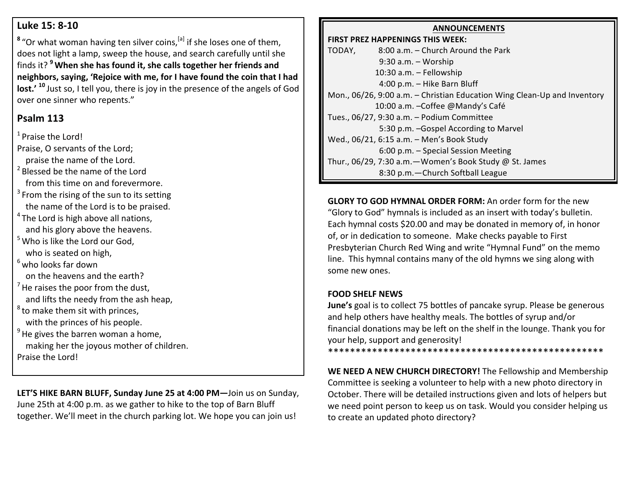# **Luke 15: 8-10**

<sup>8</sup> "Or what woman having ten silver coins,<sup>[a]</sup> if she loses one of them, does not light a lamp, sweep the house, and search carefully until she finds it? <sup>9</sup> When she has found it, she calls together her friends and neighbors, saying, 'Rejoice with me, for I have found the coin that I had **lost.'** <sup>10</sup> Just so, I tell you, there is joy in the presence of the angels of God over one sinner who repents."

# **Psalm 113**

 $1$  Praise the Lord!

Praise, O servants of the Lord;

praise the name of the Lord.  $2$  Blessed be the name of the Lord

from this time on and forevermore.

- $3$  From the rising of the sun to its setting the name of the Lord is to be praised.
- $4$  The Lord is high above all nations, and his glory above the heavens.
- $5$  Who is like the Lord our God, who is seated on high,
- $<sup>6</sup>$  who looks far down</sup>

on the heavens and the earth?

- $<sup>7</sup>$  He raises the poor from the dust,</sup> and lifts the needy from the ash heap,
- $8$  to make them sit with princes, with the princes of his people.
- $9$  He gives the barren woman a home, making her the joyous mother of children. Praise the Lord!

LET'S HIKE BARN BLUFF, Sunday June 25 at 4:00 PM-Join us on Sunday, June 25th at 4:00 p.m. as we gather to hike to the top of Barn Bluff together. We'll meet in the church parking lot. We hope you can join us!

#### **ANNOUNCEMENTS**

**FIRST PREZ HAPPENINGS THIS WEEK:** TODAY. 8:00 a.m. – Church Around the Park  $9:30$  a.m.  $-$  Worship 10:30 a.m. - Fellowship 4:00 p.m. - Hike Barn Bluff Mon., 06/26, 9:00 a.m. - Christian Education Wing Clean-Up and Inventory 10:00 a.m. -Coffee @Mandy's Café Tues.,  $06/27$ ,  $9:30$  a.m. - Podium Committee 5:30 p.m. -Gospel According to Marvel Wed., 06/21, 6:15 a.m. - Men's Book Study 6:00 p.m. - Special Session Meeting Thur., 06/29, 7:30 a.m. - Women's Book Study @ St. James 8:30 p.m. - Church Softball League

**GLORY TO GOD HYMNAL ORDER FORM:** An order form for the new "Glory to God" hymnals is included as an insert with today's bulletin. Each hymnal costs \$20.00 and may be donated in memory of, in honor of, or in dedication to someone. Make checks payable to First Presbyterian Church Red Wing and write "Hymnal Fund" on the memo line. This hymnal contains many of the old hymns we sing along with some new ones.

# **FOOD SHELF NEWS**

**June's** goal is to collect 75 bottles of pancake syrup. Please be generous and help others have healthy meals. The bottles of syrup and/or financial donations may be left on the shelf in the lounge. Thank you for your help, support and generosity!

\*\*\*\*\*\*\*\*\*\*\*\*\*\*\*\*\*\*\*\*\*\*\*\*\*\*\*\*\*\*\*\*\*\*\*\*\*\*\*\*\*\*\*\*\*\*\*\*\*\*

**WE NEED A NEW CHURCH DIRECTORY!** The Fellowship and Membership Committee is seeking a volunteer to help with a new photo directory in October. There will be detailed instructions given and lots of helpers but we need point person to keep us on task. Would you consider helping us to create an updated photo directory?